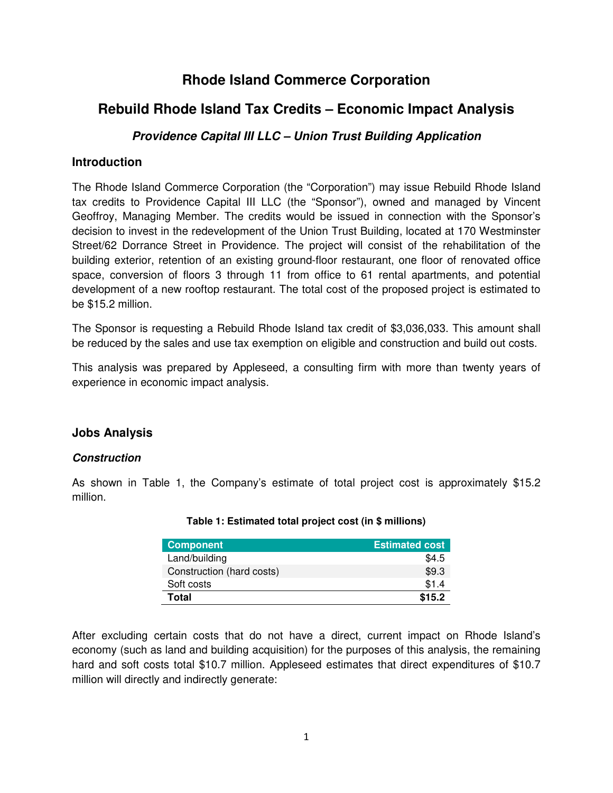## **Rhode Island Commerce Corporation**

# **Rebuild Rhode Island Tax Credits – Economic Impact Analysis**

## **Providence Capital III LLC – Union Trust Building Application**

## **Introduction**

The Rhode Island Commerce Corporation (the "Corporation") may issue Rebuild Rhode Island tax credits to Providence Capital III LLC (the "Sponsor"), owned and managed by Vincent Geoffroy, Managing Member. The credits would be issued in connection with the Sponsor's decision to invest in the redevelopment of the Union Trust Building, located at 170 Westminster Street/62 Dorrance Street in Providence. The project will consist of the rehabilitation of the building exterior, retention of an existing ground-floor restaurant, one floor of renovated office space, conversion of floors 3 through 11 from office to 61 rental apartments, and potential development of a new rooftop restaurant. The total cost of the proposed project is estimated to be \$15.2 million.

The Sponsor is requesting a Rebuild Rhode Island tax credit of \$3,036,033. This amount shall be reduced by the sales and use tax exemption on eligible and construction and build out costs.

This analysis was prepared by Appleseed, a consulting firm with more than twenty years of experience in economic impact analysis.

## **Jobs Analysis**

## **Construction**

As shown in Table 1, the Company's estimate of total project cost is approximately \$15.2 million.

| <b>Component</b>          | <b>Estimated cost</b> |
|---------------------------|-----------------------|
| Land/building             | \$4.5                 |
| Construction (hard costs) | \$9.3                 |
| Soft costs                | \$1.4                 |
| Total                     | \$15.2                |

#### **Table 1: Estimated total project cost (in \$ millions)**

After excluding certain costs that do not have a direct, current impact on Rhode Island's economy (such as land and building acquisition) for the purposes of this analysis, the remaining hard and soft costs total \$10.7 million. Appleseed estimates that direct expenditures of \$10.7 million will directly and indirectly generate: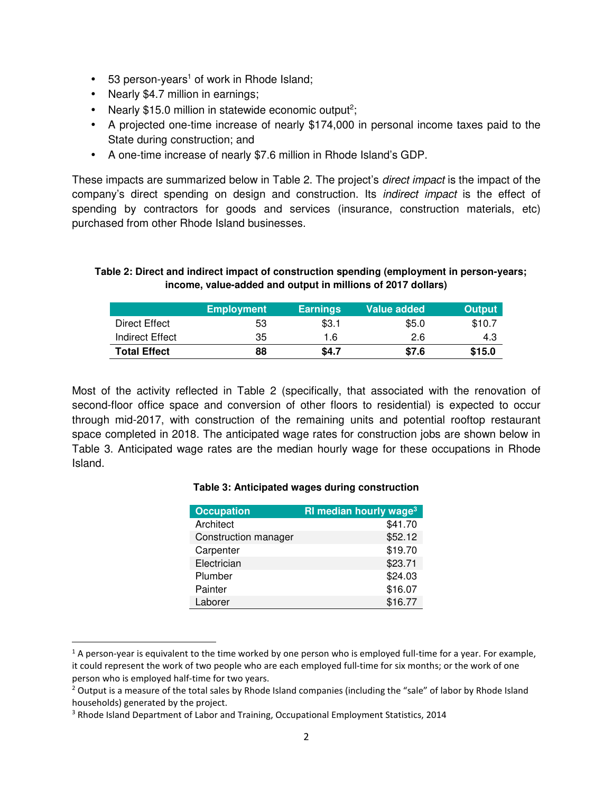- 53 person-years<sup>1</sup> of work in Rhode Island;
- Nearly \$4.7 million in earnings;
- Nearly \$15.0 million in statewide economic output<sup>2</sup>;
- A projected one-time increase of nearly \$174,000 in personal income taxes paid to the State during construction; and
- A one-time increase of nearly \$7.6 million in Rhode Island's GDP.

These impacts are summarized below in Table 2. The project's *direct impact* is the impact of the company's direct spending on design and construction. Its indirect impact is the effect of spending by contractors for goods and services (insurance, construction materials, etc) purchased from other Rhode Island businesses.

#### **Table 2: Direct and indirect impact of construction spending (employment in person-years; income, value-added and output in millions of 2017 dollars)**

|                     | <b>Employment</b> | <b>Earnings</b> | Value added | <b>Output</b> |
|---------------------|-------------------|-----------------|-------------|---------------|
| Direct Effect       | 53                | \$3.1           | \$5.0       | \$10.7        |
| Indirect Effect     | 35                | 1.6             | 2.6         | 4.3           |
| <b>Total Effect</b> | 88                | \$4.7           | \$7.6       | \$15.0        |

Most of the activity reflected in Table 2 (specifically, that associated with the renovation of second-floor office space and conversion of other floors to residential) is expected to occur through mid-2017, with construction of the remaining units and potential rooftop restaurant space completed in 2018. The anticipated wage rates for construction jobs are shown below in Table 3. Anticipated wage rates are the median hourly wage for these occupations in Rhode Island.

#### **Table 3: Anticipated wages during construction**

| <b>Occupation</b>    | RI median hourly wage <sup>3</sup> |
|----------------------|------------------------------------|
| Architect            | \$41.70                            |
| Construction manager | \$52.12                            |
| Carpenter            | \$19.70                            |
| Electrician          | \$23.71                            |
| Plumber              | \$24.03                            |
| Painter              | \$16.07                            |
| Laborer              | \$16.77                            |

 $1$  A person-year is equivalent to the time worked by one person who is employed full-time for a year. For example, it could represent the work of two people who are each employed full-time for six months; or the work of one person who is employed half-time for two years.

<u>.</u>

 $2$  Output is a measure of the total sales by Rhode Island companies (including the "sale" of labor by Rhode Island households) generated by the project.

<sup>&</sup>lt;sup>3</sup> Rhode Island Department of Labor and Training, Occupational Employment Statistics, 2014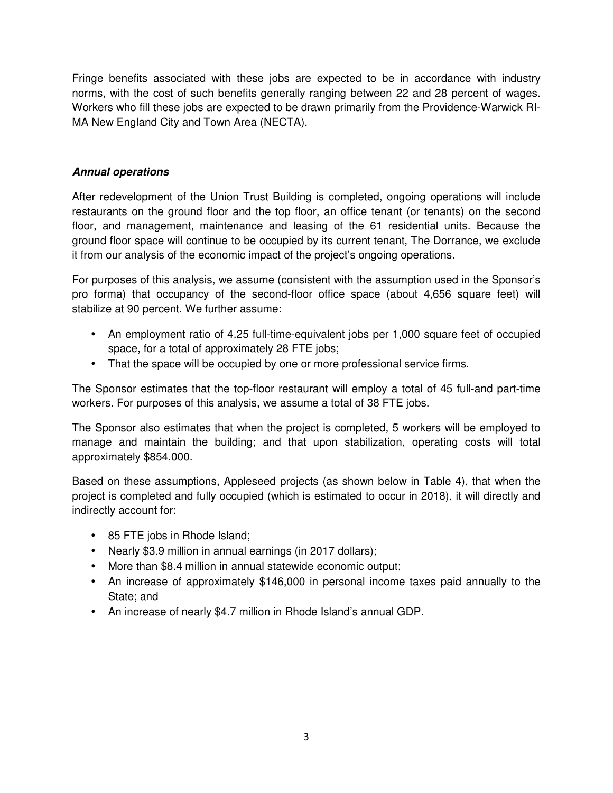Fringe benefits associated with these jobs are expected to be in accordance with industry norms, with the cost of such benefits generally ranging between 22 and 28 percent of wages. Workers who fill these jobs are expected to be drawn primarily from the Providence-Warwick RI-MA New England City and Town Area (NECTA).

## **Annual operations**

After redevelopment of the Union Trust Building is completed, ongoing operations will include restaurants on the ground floor and the top floor, an office tenant (or tenants) on the second floor, and management, maintenance and leasing of the 61 residential units. Because the ground floor space will continue to be occupied by its current tenant, The Dorrance, we exclude it from our analysis of the economic impact of the project's ongoing operations.

For purposes of this analysis, we assume (consistent with the assumption used in the Sponsor's pro forma) that occupancy of the second-floor office space (about 4,656 square feet) will stabilize at 90 percent. We further assume:

- An employment ratio of 4.25 full-time-equivalent jobs per 1,000 square feet of occupied space, for a total of approximately 28 FTE jobs;
- That the space will be occupied by one or more professional service firms.

The Sponsor estimates that the top-floor restaurant will employ a total of 45 full-and part-time workers. For purposes of this analysis, we assume a total of 38 FTE jobs.

The Sponsor also estimates that when the project is completed, 5 workers will be employed to manage and maintain the building; and that upon stabilization, operating costs will total approximately \$854,000.

Based on these assumptions, Appleseed projects (as shown below in Table 4), that when the project is completed and fully occupied (which is estimated to occur in 2018), it will directly and indirectly account for:

- 85 FTE jobs in Rhode Island;
- Nearly \$3.9 million in annual earnings (in 2017 dollars);
- More than \$8.4 million in annual statewide economic output;
- An increase of approximately \$146,000 in personal income taxes paid annually to the State; and
- An increase of nearly \$4.7 million in Rhode Island's annual GDP.